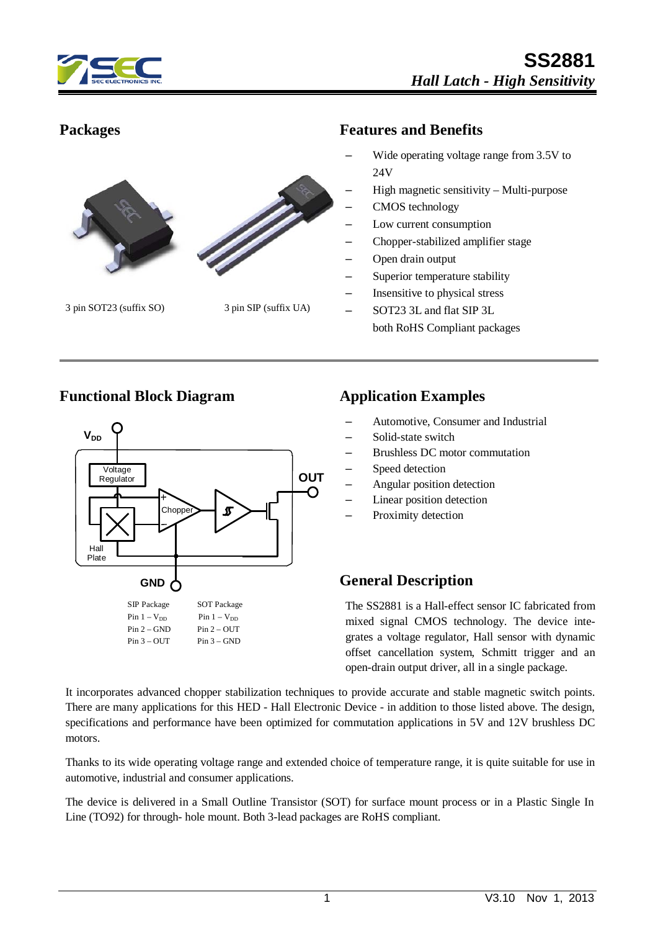



#### **Packages Features and Benefits**

- Wide operating voltage range from 3.5V to 24V
- High magnetic sensitivity Multi-purpose
- CMOS technology
- Low current consumption
- Chopper-stabilized amplifier stage
- Open drain output
- Superior temperature stability
- Insensitive to physical stress
- SOT23 3L and flat SIP 3L both RoHS Compliant packages

#### **Functional Block Diagram Application Examples**



- Automotive, Consumer and Industrial
- Solid-state switch
- Brushless DC motor commutation
- Speed detection
- Angular position detection
- Linear position detection
- Proximity detection

### **General Description**

The SS2881 is a Hall-effect sensor IC fabricated from mixed signal CMOS technology. The device integrates a voltage regulator, Hall sensor with dynamic offset cancellation system, Schmitt trigger and an open-drain output driver, all in a single package.

It incorporates advanced chopper stabilization techniques to provide accurate and stable magnetic switch points. There are many applications for this HED - Hall Electronic Device - in addition to those listed above. The design, specifications and performance have been optimized for commutation applications in 5V and 12V brushless DC motors.

Thanks to its wide operating voltage range and extended choice of temperature range, it is quite suitable for use in automotive, industrial and consumer applications.

The device is delivered in a Small Outline Transistor (SOT) for surface mount process or in a Plastic Single In Line (TO92) for through- hole mount. Both 3-lead packages are RoHS compliant.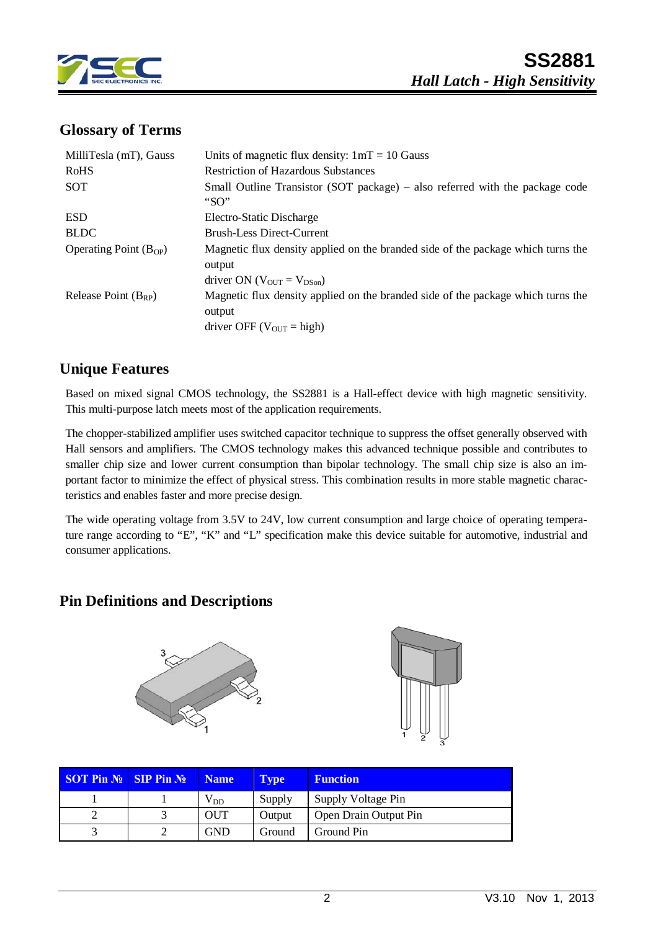

### **Glossary of Terms**

| MilliTesla (mT), Gauss     | Units of magnetic flux density: $1mT = 10$ Gauss                                                                                               |
|----------------------------|------------------------------------------------------------------------------------------------------------------------------------------------|
| <b>RoHS</b>                | <b>Restriction of Hazardous Substances</b>                                                                                                     |
| SOT                        | Small Outline Transistor (SOT package) – also referred with the package code<br>"SO"                                                           |
| <b>ESD</b>                 | Electro-Static Discharge                                                                                                                       |
| <b>BLDC</b>                | <b>Brush-Less Direct-Current</b>                                                                                                               |
| Operating Point $(B_{OP})$ | Magnetic flux density applied on the branded side of the package which turns the<br>output<br>driver ON ( $V_{\text{OUT}} = V_{\text{DSon}}$ ) |
| Release Point $(B_{RP})$   | Magnetic flux density applied on the branded side of the package which turns the<br>output<br>driver OFF ( $V_{\text{OUT}}$ = high)            |

### **Unique Features**

Based on mixed signal CMOS technology, the SS2881 is a Hall-effect device with high magnetic sensitivity. This multi-purpose latch meets most of the application requirements.

The chopper-stabilized amplifier uses switched capacitor technique to suppress the offset generally observed with Hall sensors and amplifiers. The CMOS technology makes this advanced technique possible and contributes to smaller chip size and lower current consumption than bipolar technology. The small chip size is also an important factor to minimize the effect of physical stress. This combination results in more stable magnetic characteristics and enables faster and more precise design.

The wide operating voltage from 3.5V to 24V, low current consumption and large choice of operating temperature range according to "E", "K" and "L" specification make this device suitable for automotive, industrial and consumer applications.

### **Pin Definitions and Descriptions**





| <b>SOT Pin <math>\mathbb{N}_2</math> SIP Pin <math>\mathbb{N}_2</math></b> | <b>Name</b>  | <b>Type</b> | <b>Function</b>       |
|----------------------------------------------------------------------------|--------------|-------------|-----------------------|
|                                                                            | $\rm V_{DD}$ | Supply      | Supply Voltage Pin    |
|                                                                            | OUT          | Output      | Open Drain Output Pin |
|                                                                            | <b>GND</b>   | Ground      | Ground Pin            |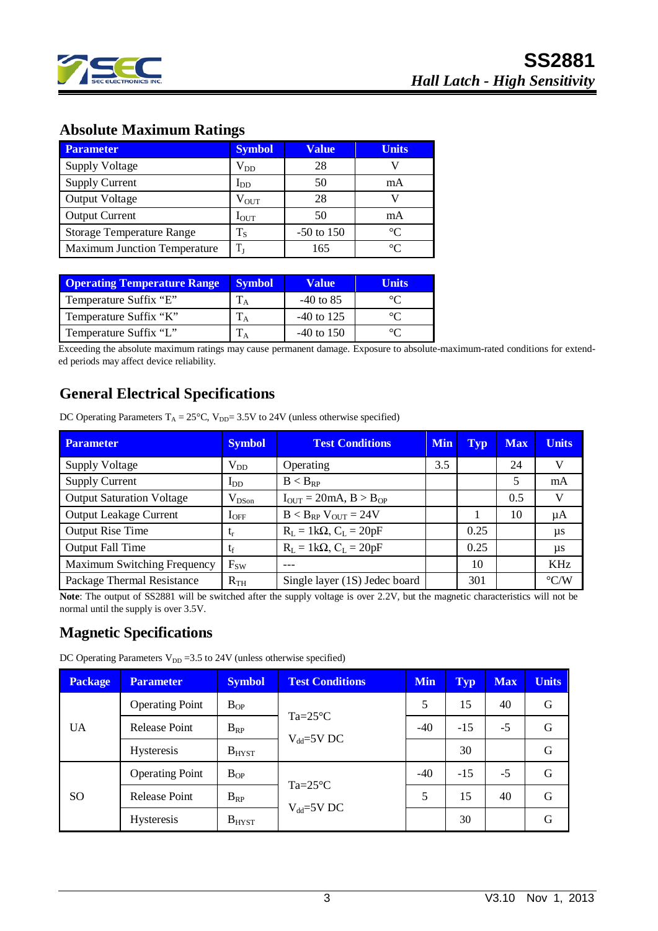

# **Absolute Maximum Ratings**

| <b>Parameter</b>                    | <b>Symbol</b>    | <b>Value</b> | <b>Units</b> |
|-------------------------------------|------------------|--------------|--------------|
| <b>Supply Voltage</b>               | $\rm V_{DD}$     | 28           |              |
| <b>Supply Current</b>               | $I_{DD}$         | 50           | mA           |
| <b>Output Voltage</b>               | $\rm V_{OUT}$    | 28           |              |
| <b>Output Current</b>               | $I_{\text{OUT}}$ | 50           | mA           |
| <b>Storage Temperature Range</b>    | $T_{\rm S}$      | $-50$ to 150 | $\circ$      |
| <b>Maximum Junction Temperature</b> | $T_{I}$          | 165          | ി            |

| <b>Operating Temperature Range</b> | <b>Symbol</b> | <b>Value</b> | Units |
|------------------------------------|---------------|--------------|-------|
| Temperature Suffix "E"             |               | $-40$ to 85  |       |
| Temperature Suffix "K"             |               | $-40$ to 125 |       |
| Temperature Suffix "L"             |               | $-40$ to 150 |       |

Exceeding the absolute maximum ratings may cause permanent damage. Exposure to absolute-maximum-rated conditions for extended periods may affect device reliability.

## **General Electrical Specifications**

DC Operating Parameters  $T_A = 25^{\circ}C$ ,  $V_{DD} = 3.5V$  to 24V (unless otherwise specified)

| <b>Parameter</b>                 | <b>Symbol</b> | <b>Test Conditions</b><br><b>Min</b> |     | Typ  | <b>Max</b> | <b>Units</b>       |
|----------------------------------|---------------|--------------------------------------|-----|------|------------|--------------------|
| <b>Supply Voltage</b>            | $V_{DD}$      | Operating                            | 3.5 |      | 24         | v                  |
| <b>Supply Current</b>            | $I_{DD}$      | $B < B_{RP}$                         |     |      |            | mA                 |
| <b>Output Saturation Voltage</b> | $V_{DSon}$    | $I_{OUT} = 20mA, B > B_{OP}$         |     |      | 0.5        | V                  |
| <b>Output Leakage Current</b>    | $I_{OFF}$     | $B < B_{RP}$ V <sub>OUT</sub> = 24V  |     |      | 10         | μA                 |
| <b>Output Rise Time</b>          | $t_{r}$       | $R_L = 1k\Omega$ , $C_L = 20pF$      |     | 0.25 |            | μs                 |
| <b>Output Fall Time</b>          | $t_{\rm f}$   | $R_L = 1k\Omega$ , $C_L = 20pF$      |     | 0.25 |            | us                 |
| Maximum Switching Frequency      | $F_{SW}$      |                                      |     | 10   |            | <b>KHz</b>         |
| Package Thermal Resistance       | $R_{TH}$      | Single layer (1S) Jedec board        |     | 301  |            | $\rm ^{\circ}$ C/W |

**Note**: The output of SS2881 will be switched after the supply voltage is over 2.2V, but the magnetic characteristics will not be normal until the supply is over 3.5V.

### **Magnetic Specifications**

DC Operating Parameters  $V_{DD} = 3.5$  to 24V (unless otherwise specified)

| <b>Package</b>                                                                                                                                                    | <b>Parameter</b>       | <b>Symbol</b> | <b>Test Conditions</b>                 | <b>Min</b> | <b>Typ</b> | <b>Max</b> | <b>Units</b> |
|-------------------------------------------------------------------------------------------------------------------------------------------------------------------|------------------------|---------------|----------------------------------------|------------|------------|------------|--------------|
| <b>Operating Point</b><br>$B_{OP}$<br>$Ta = 25^{\circ}C$<br><b>UA</b><br><b>Release Point</b><br>$B_{RP}$<br>$V_{dd} = 5V$ DC<br>$B_{H YST}$<br><b>Hysteresis</b> |                        |               |                                        | 5          | 15         | 40         | G            |
|                                                                                                                                                                   |                        | $-40$         | $-15$                                  | $-5$       | G          |            |              |
|                                                                                                                                                                   |                        |               |                                        |            | 30         |            | G            |
|                                                                                                                                                                   | <b>Operating Point</b> | $B_{OP}$      | $Ta = 25^{\circ}C$<br>$V_{dd} = 5V$ DC | $-40$      | $-15$      | $-5$       | G            |
| <b>SO</b>                                                                                                                                                         | <b>Release Point</b>   | $B_{RP}$      |                                        | 5          | 15         | 40         | G            |
|                                                                                                                                                                   | <b>Hysteresis</b>      | $B_{H YST}$   |                                        |            | 30         |            | G            |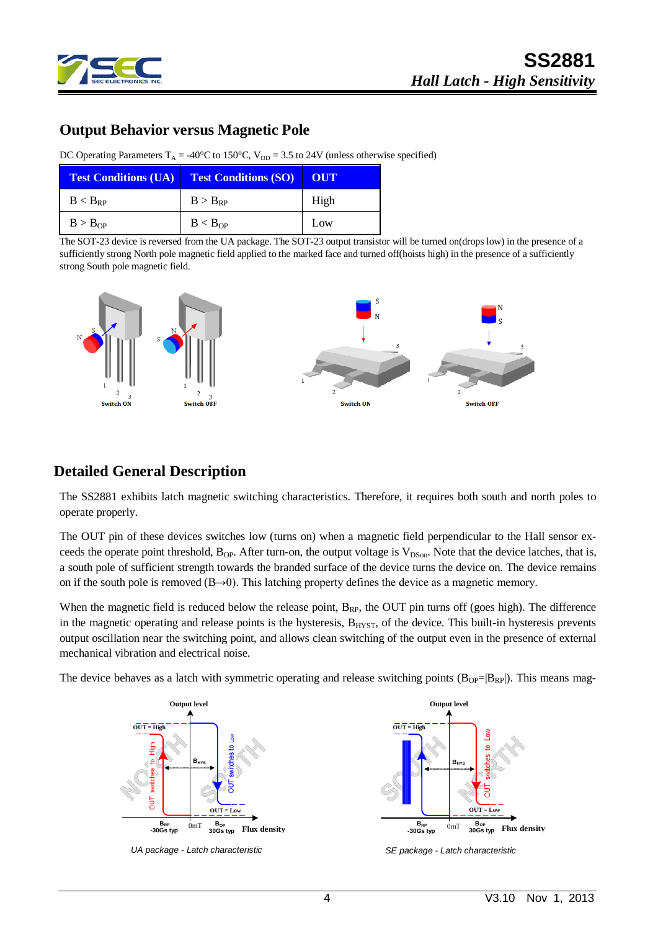

## **Output Behavior versus Magnetic Pole**

DC Operating Parameters  $T_A = -40^{\circ}C$  to  $150^{\circ}C$ ,  $V_{DD} = 3.5$  to 24V (unless otherwise specified)

| <b>Test Conditions (UA) Test Conditions (SO)</b> |              | – OUT |
|--------------------------------------------------|--------------|-------|
| $B < B_{RP}$                                     | $B > B_{RP}$ | High  |
| B > B <sub>OP</sub>                              | $B < B_{OP}$ | Low   |

The SOT-23 device is reversed from the UA package. The SOT-23 output transistor will be turned on(drops low) in the presence of a sufficiently strong North pole magnetic field applied to the marked face and turned off(hoists high) in the presence of a sufficiently strong South pole magnetic field.



#### **Detailed General Description**

The SS2881 exhibits latch magnetic switching characteristics. Therefore, it requires both south and north poles to operate properly.

The OUT pin of these devices switches low (turns on) when a magnetic field perpendicular to the Hall sensor exceeds the operate point threshold,  $B_{OP}$ . After turn-on, the output voltage is  $V_{DSon}$ . Note that the device latches, that is, a south pole of sufficient strength towards the branded surface of the device turns the device on. The device remains on if the south pole is removed (B→0). This latching property defines the device as a magnetic memory.

When the magnetic field is reduced below the release point,  $B_{RP}$ , the OUT pin turns off (goes high). The difference in the magnetic operating and release points is the hysteresis, B<sub>HYST</sub>, of the device. This built-in hysteresis prevents output oscillation near the switching point, and allows clean switching of the output even in the presence of external mechanical vibration and electrical noise.

The device behaves as a latch with symmetric operating and release switching points  $(B_{OP}=|B_{RP}|)$ . This means mag-







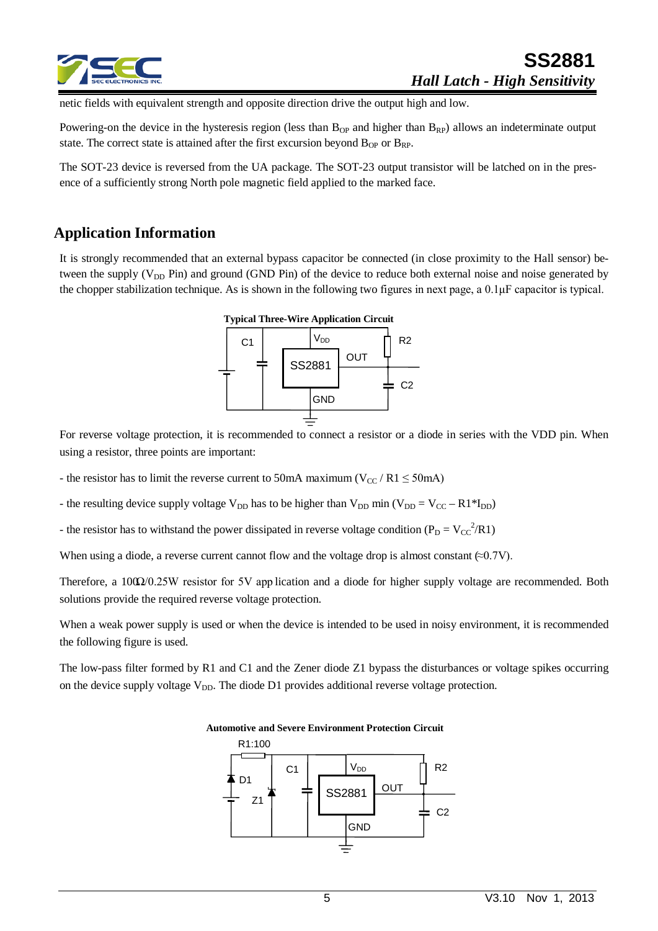

netic fields with equivalent strength and opposite direction drive the output high and low.

Powering-on the device in the hysteresis region (less than  $B_{OP}$  and higher than  $B_{RP}$ ) allows an indeterminate output state. The correct state is attained after the first excursion beyond  $B_{OP}$  or  $B_{RP}$ .

The SOT-23 device is reversed from the UA package. The SOT-23 output transistor will be latched on in the presence of a sufficiently strong North pole magnetic field applied to the marked face.

#### **Application Information**

It is strongly recommended that an external bypass capacitor be connected (in close proximity to the Hall sensor) between the supply ( $V_{DD}$  Pin) and ground (GND Pin) of the device to reduce both external noise and noise generated by the chopper stabilization technique. As is shown in the following two figures in next page, a 0.1μF capacitor is typical.



For reverse voltage protection, it is recommended to connect a resistor or a diode in series with the VDD pin. When using a resistor, three points are important:

- the resistor has to limit the reverse current to 50mA maximum ( $V_{CC}$  / R1  $\leq$  50mA)

- the resulting device supply voltage  $V_{DD}$  has to be higher than  $V_{DD}$  min ( $V_{DD} = V_{CC} - R1*I_{DD}$ )

- the resistor has to withstand the power dissipated in reverse voltage condition ( $P_D = V_{CC}^2 / R1$ )

When using a diode, a reverse current cannot flow and the voltage drop is almost constant  $(\approx 0.7V)$ .

Therefore, a 100Ω/0.25W resistor for 5V app lication and a diode for higher supply voltage are recommended. Both solutions provide the required reverse voltage protection.

When a weak power supply is used or when the device is intended to be used in noisy environment, it is recommended the following figure is used.

The low-pass filter formed by R1 and C1 and the Zener diode Z1 bypass the disturbances or voltage spikes occurring on the device supply voltage  $V_{DD}$ . The diode D1 provides additional reverse voltage protection.

> SS2881 R1:100 R2 C<sub>2</sub> V<sub>DD</sub> **GND** OUT  $C<sub>1</sub>$ Z1 D1

**Automotive and Severe Environment Protection Circuit**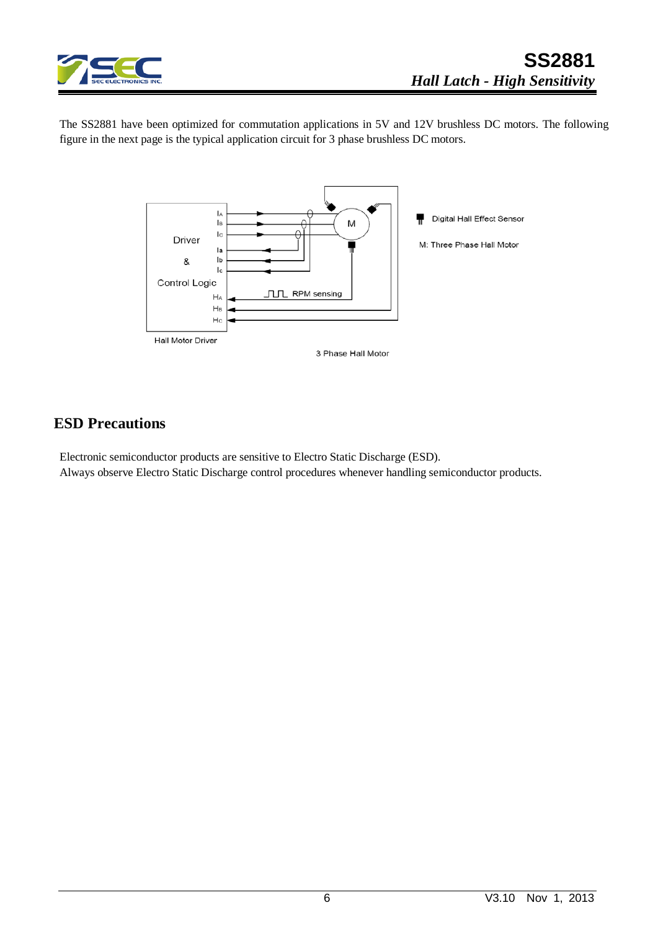

The SS2881 have been optimized for commutation applications in 5V and 12V brushless DC motors. The following figure in the next page is the typical application circuit for 3 phase brushless DC motors.



### **ESD Precautions**

Electronic semiconductor products are sensitive to Electro Static Discharge (ESD). Always observe Electro Static Discharge control procedures whenever handling semiconductor products.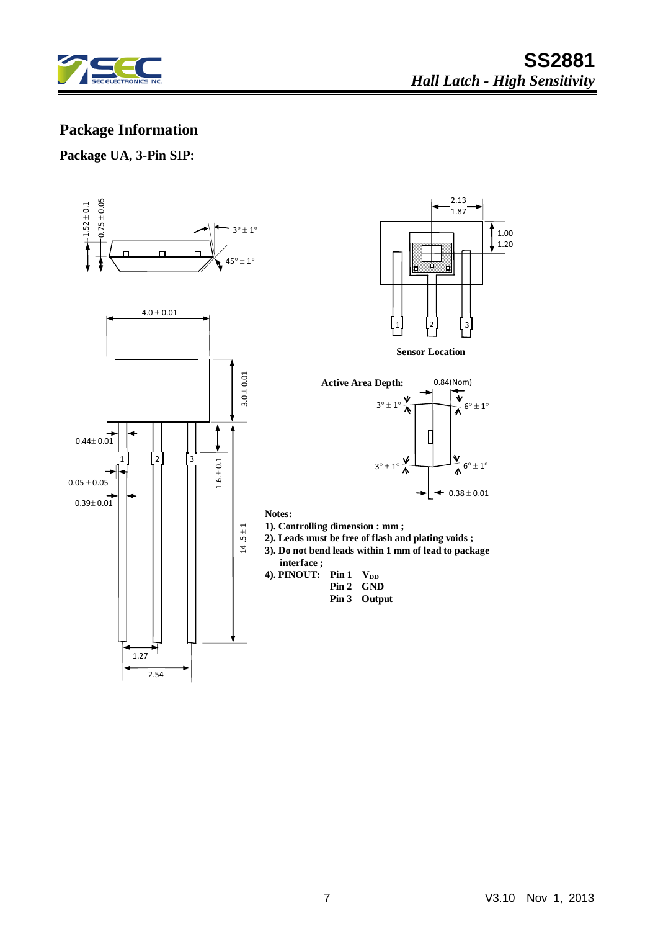

# **Package Information**

#### **Package UA, 3-Pin SIP:**